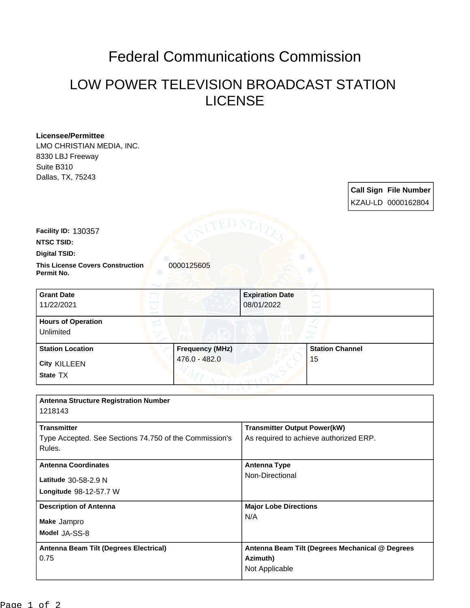## Federal Communications Commission

## LOW POWER TELEVISION BROADCAST STATION LICENSE

| <b>Licensee/Permittee</b>                              |                                                 |                                        |                        |  |                              |
|--------------------------------------------------------|-------------------------------------------------|----------------------------------------|------------------------|--|------------------------------|
| LMO CHRISTIAN MEDIA, INC.                              |                                                 |                                        |                        |  |                              |
| 8330 LBJ Freeway                                       |                                                 |                                        |                        |  |                              |
| Suite B310                                             |                                                 |                                        |                        |  |                              |
| Dallas, TX, 75243                                      |                                                 |                                        |                        |  |                              |
|                                                        |                                                 |                                        |                        |  | <b>Call Sign File Number</b> |
|                                                        |                                                 |                                        |                        |  | KZAU-LD 0000162804           |
|                                                        |                                                 |                                        |                        |  |                              |
| Facility ID: 130357                                    |                                                 |                                        |                        |  |                              |
| <b>NTSC TSID:</b>                                      |                                                 |                                        |                        |  |                              |
| <b>Digital TSID:</b>                                   |                                                 |                                        |                        |  |                              |
| <b>This License Covers Construction</b><br>Permit No.  | 0000125605                                      |                                        |                        |  |                              |
| <b>Grant Date</b>                                      |                                                 | <b>Expiration Date</b>                 |                        |  |                              |
| 11/22/2021                                             |                                                 | 08/01/2022                             |                        |  |                              |
| <b>Hours of Operation</b><br>Unlimited                 |                                                 |                                        |                        |  |                              |
| <b>Station Location</b>                                | <b>Frequency (MHz)</b>                          |                                        | <b>Station Channel</b> |  |                              |
| <b>City KILLEEN</b>                                    | 476.0 - 482.0                                   |                                        | 15                     |  |                              |
| State TX                                               |                                                 |                                        |                        |  |                              |
|                                                        |                                                 |                                        |                        |  |                              |
| <b>Antenna Structure Registration Number</b>           |                                                 |                                        |                        |  |                              |
| 1218143                                                |                                                 |                                        |                        |  |                              |
| <b>Transmitter</b>                                     | <b>Transmitter Output Power(kW)</b>             |                                        |                        |  |                              |
| Type Accepted. See Sections 74.750 of the Commission's |                                                 | As required to achieve authorized ERP. |                        |  |                              |
| Rules.                                                 |                                                 |                                        |                        |  |                              |
| <b>Antenna Coordinates</b>                             |                                                 | <b>Antenna Type</b>                    |                        |  |                              |
| Latitude 30-58-2.9 N                                   |                                                 | Non-Directional                        |                        |  |                              |
| Longitude 98-12-57.7 W                                 |                                                 |                                        |                        |  |                              |
| <b>Description of Antenna</b>                          |                                                 | <b>Major Lobe Directions</b>           |                        |  |                              |
| Make Jampro                                            |                                                 | N/A                                    |                        |  |                              |
| Model JA-SS-8                                          |                                                 |                                        |                        |  |                              |
|                                                        |                                                 |                                        |                        |  |                              |
| Antenna Beam Tilt (Degrees Electrical)                 | Antenna Beam Tilt (Degrees Mechanical @ Degrees |                                        |                        |  |                              |
| 0.75                                                   |                                                 | Azimuth)                               |                        |  |                              |
|                                                        |                                                 | Not Applicable                         |                        |  |                              |